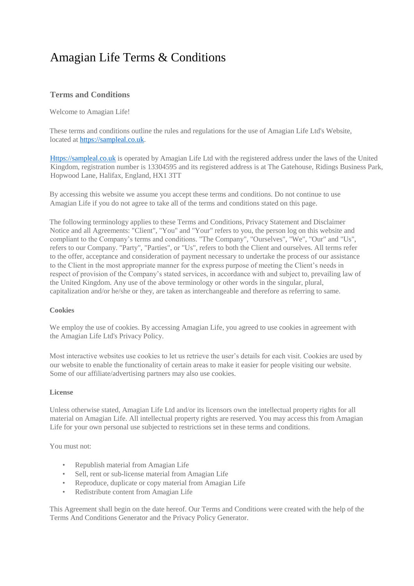# Amagian Life Terms & Conditions

# **Terms and Conditions**

Welcome to Amagian Life!

These terms and conditions outline the rules and regulations for the use of Amagian Life Ltd's Website, located at [https://sampleal.co.uk.](https://sampleal.co.uk/)

[Https://sampleal.co.uk](https://sampleal.co.uk/) is operated by Amagian Life Ltd with the registered address under the laws of the United Kingdom, registration number is 13304595 and its registered address is at The Gatehouse, Ridings Business Park, Hopwood Lane, Halifax, England, HX1 3TT

By accessing this website we assume you accept these terms and conditions. Do not continue to use Amagian Life if you do not agree to take all of the terms and conditions stated on this page.

The following terminology applies to these Terms and Conditions, Privacy Statement and Disclaimer Notice and all Agreements: "Client", "You" and "Your" refers to you, the person log on this website and compliant to the Company's terms and conditions. "The Company", "Ourselves", "We", "Our" and "Us", refers to our Company. "Party", "Parties", or "Us", refers to both the Client and ourselves. All terms refer to the offer, acceptance and consideration of payment necessary to undertake the process of our assistance to the Client in the most appropriate manner for the express purpose of meeting the Client's needs in respect of provision of the Company's stated services, in accordance with and subject to, prevailing law of the United Kingdom. Any use of the above terminology or other words in the singular, plural, capitalization and/or he/she or they, are taken as interchangeable and therefore as referring to same.

# **Cookies**

We employ the use of cookies. By accessing Amagian Life, you agreed to use cookies in agreement with the Amagian Life Ltd's Privacy Policy.

Most interactive websites use cookies to let us retrieve the user's details for each visit. Cookies are used by our website to enable the functionality of certain areas to make it easier for people visiting our website. Some of our affiliate/advertising partners may also use cookies.

#### **License**

Unless otherwise stated, Amagian Life Ltd and/or its licensors own the intellectual property rights for all material on Amagian Life. All intellectual property rights are reserved. You may access this from Amagian Life for your own personal use subjected to restrictions set in these terms and conditions.

You must not:

- Republish material from Amagian Life
- Sell, rent or sub-license material from Amagian Life
- Reproduce, duplicate or copy material from Amagian Life
- Redistribute content from Amagian Life

This Agreement shall begin on the date hereof. Our Terms and Conditions were created with the help of the [Terms And Conditions Generator](https://www.termsandconditionsgenerator.com/) and th[e Privacy Policy Generator.](https://www.generateprivacypolicy.com/)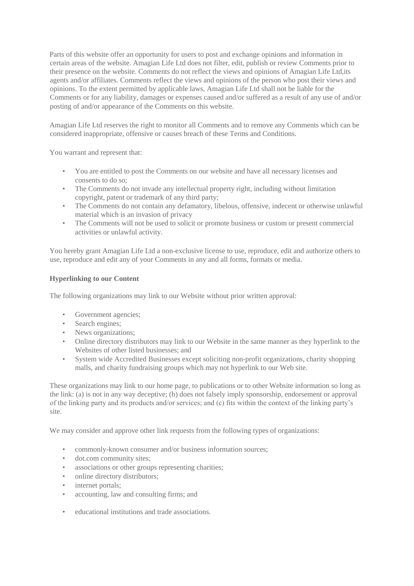Parts of this website offer an opportunity for users to post and exchange opinions and information in certain areas of the website. Amagian Life Ltd does not filter, edit, publish or review Comments prior to their presence on the website. Comments do not reflect the views and opinions of Amagian Life Ltd,its agents and/or affiliates. Comments reflect the views and opinions of the person who post their views and opinions. To the extent permitted by applicable laws, Amagian Life Ltd shall not be liable for the Comments or for any liability, damages or expenses caused and/or suffered as a result of any use of and/or posting of and/or appearance of the Comments on this website.

Amagian Life Ltd reserves the right to monitor all Comments and to remove any Comments which can be considered inappropriate, offensive or causes breach of these Terms and Conditions.

You warrant and represent that:

- You are entitled to post the Comments on our website and have all necessary licenses and consents to do so;
- The Comments do not invade any intellectual property right, including without limitation copyright, patent or trademark of any third party;
- The Comments do not contain any defamatory, libelous, offensive, indecent or otherwise unlawful material which is an invasion of privacy
- The Comments will not be used to solicit or promote business or custom or present commercial activities or unlawful activity.

You hereby grant Amagian Life Ltd a non-exclusive license to use, reproduce, edit and authorize others to use, reproduce and edit any of your Comments in any and all forms, formats or media.

# **Hyperlinking to our Content**

The following organizations may link to our Website without prior written approval:

- Government agencies;
- Search engines;
- News organizations;
- Online directory distributors may link to our Website in the same manner as they hyperlink to the Websites of other listed businesses; and
- System wide Accredited Businesses except soliciting non-profit organizations, charity shopping malls, and charity fundraising groups which may not hyperlink to our Web site.

These organizations may link to our home page, to publications or to other Website information so long as the link: (a) is not in any way deceptive; (b) does not falsely imply sponsorship, endorsement or approval of the linking party and its products and/or services; and (c) fits within the context of the linking party's site.

We may consider and approve other link requests from the following types of organizations:

- commonly-known consumer and/or business information sources;
- dot.com community sites;
- associations or other groups representing charities;
- online directory distributors:
- internet portals;
- accounting, law and consulting firms; and
- educational institutions and trade associations.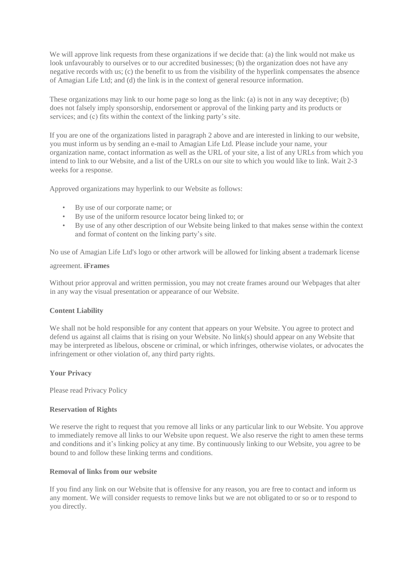We will approve link requests from these organizations if we decide that: (a) the link would not make us look unfavourably to ourselves or to our accredited businesses; (b) the organization does not have any negative records with us; (c) the benefit to us from the visibility of the hyperlink compensates the absence of Amagian Life Ltd; and (d) the link is in the context of general resource information.

These organizations may link to our home page so long as the link: (a) is not in any way deceptive; (b) does not falsely imply sponsorship, endorsement or approval of the linking party and its products or services; and (c) fits within the context of the linking party's site.

If you are one of the organizations listed in paragraph 2 above and are interested in linking to our website, you must inform us by sending an e-mail to Amagian Life Ltd. Please include your name, your organization name, contact information as well as the URL of your site, a list of any URLs from which you intend to link to our Website, and a list of the URLs on our site to which you would like to link. Wait 2-3 weeks for a response.

Approved organizations may hyperlink to our Website as follows:

- By use of our corporate name; or
- By use of the uniform resource locator being linked to; or
- By use of any other description of our Website being linked to that makes sense within the context and format of content on the linking party's site.

No use of Amagian Life Ltd's logo or other artwork will be allowed for linking absent a trademark license

#### agreement. **iFrames**

Without prior approval and written permission, you may not create frames around our Webpages that alter in any way the visual presentation or appearance of our Website.

# **Content Liability**

We shall not be hold responsible for any content that appears on your Website. You agree to protect and defend us against all claims that is rising on your Website. No link(s) should appear on any Website that may be interpreted as libelous, obscene or criminal, or which infringes, otherwise violates, or advocates the infringement or other violation of, any third party rights.

# **Your Privacy**

Please read Privacy Policy

#### **Reservation of Rights**

We reserve the right to request that you remove all links or any particular link to our Website. You approve to immediately remove all links to our Website upon request. We also reserve the right to amen these terms and conditions and it's linking policy at any time. By continuously linking to our Website, you agree to be bound to and follow these linking terms and conditions.

#### **Removal of links from our website**

If you find any link on our Website that is offensive for any reason, you are free to contact and inform us any moment. We will consider requests to remove links but we are not obligated to or so or to respond to you directly.